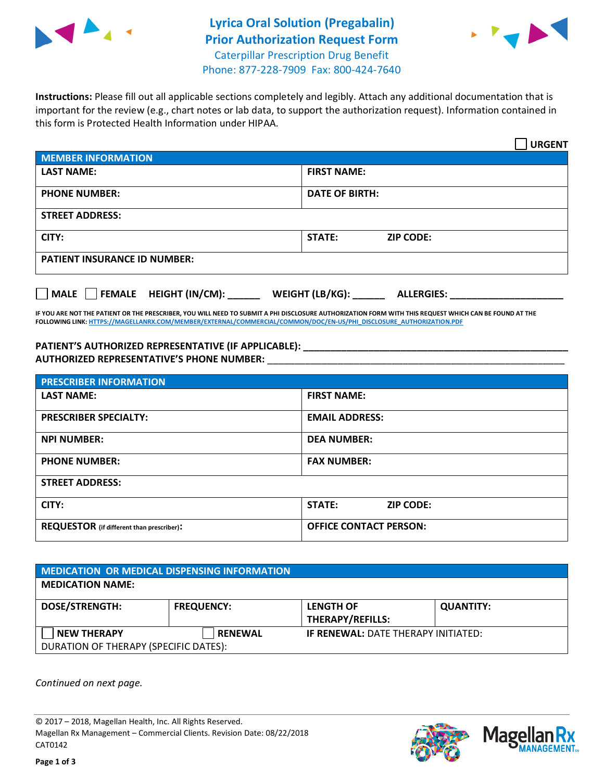



Phone: 877-228-7909 Fax: 800-424-7640

**Instructions:** Please fill out all applicable sections completely and legibly. Attach any additional documentation that is important for the review (e.g., chart notes or lab data, to support the authorization request). Information contained in this form is Protected Health Information under HIPAA.

|                                     | <b>URGENT</b>                        |  |
|-------------------------------------|--------------------------------------|--|
| <b>MEMBER INFORMATION</b>           |                                      |  |
| <b>LAST NAME:</b>                   | <b>FIRST NAME:</b>                   |  |
| <b>PHONE NUMBER:</b>                | <b>DATE OF BIRTH:</b>                |  |
| <b>STREET ADDRESS:</b>              |                                      |  |
| CITY:                               | <b>ZIP CODE:</b><br>STATE:           |  |
| <b>PATIENT INSURANCE ID NUMBER:</b> |                                      |  |
| MALE FEMALE HEIGHT (IN/CM):         | WEIGHT (LB/KG):<br><b>ALLERGIES:</b> |  |

**IF YOU ARE NOT THE PATIENT OR THE PRESCRIBER, YOU WILL NEED TO SUBMIT A PHI DISCLOSURE AUTHORIZATION FORM WITH THIS REQUEST WHICH CAN BE FOUND AT THE FOLLOWING LINK[: HTTPS://MAGELLANRX.COM/MEMBER/EXTERNAL/COMMERCIAL/COMMON/DOC/EN-US/PHI\\_DISCLOSURE\\_AUTHORIZATION.PDF](https://magellanrx.com/member/external/commercial/common/doc/en-us/PHI_Disclosure_Authorization.pdf)**

**PATIENT'S AUTHORIZED REPRESENTATIVE (IF APPLICABLE): \_\_\_\_\_\_\_\_\_\_\_\_\_\_\_\_\_\_\_\_\_\_\_\_\_\_\_\_\_\_\_\_\_\_\_\_\_\_\_\_\_\_\_\_\_\_\_\_\_ AUTHORIZED REPRESENTATIVE'S PHONE NUMBER:** \_\_\_\_\_\_\_\_\_\_\_\_\_\_\_\_\_\_\_\_\_\_\_\_\_\_\_\_\_\_\_\_\_\_\_\_\_\_\_\_\_\_\_\_\_\_\_\_\_\_\_\_\_\_\_

| <b>PRESCRIBER INFORMATION</b>             |                                   |  |
|-------------------------------------------|-----------------------------------|--|
| <b>LAST NAME:</b>                         | <b>FIRST NAME:</b>                |  |
| <b>PRESCRIBER SPECIALTY:</b>              | <b>EMAIL ADDRESS:</b>             |  |
| <b>NPI NUMBER:</b>                        | <b>DEA NUMBER:</b>                |  |
| <b>PHONE NUMBER:</b>                      | <b>FAX NUMBER:</b>                |  |
| <b>STREET ADDRESS:</b>                    |                                   |  |
| CITY:                                     | <b>STATE:</b><br><b>ZIP CODE:</b> |  |
| REQUESTOR (if different than prescriber): | <b>OFFICE CONTACT PERSON:</b>     |  |

| <b>MEDICATION OR MEDICAL DISPENSING INFORMATION</b> |                   |                                            |                  |  |  |
|-----------------------------------------------------|-------------------|--------------------------------------------|------------------|--|--|
| <b>MEDICATION NAME:</b>                             |                   |                                            |                  |  |  |
| <b>DOSE/STRENGTH:</b>                               | <b>FREQUENCY:</b> | <b>LENGTH OF</b>                           | <b>QUANTITY:</b> |  |  |
|                                                     |                   | <b>THERAPY/REFILLS:</b>                    |                  |  |  |
| <b>NEW THERAPY</b>                                  | <b>RENEWAL</b>    | <b>IF RENEWAL: DATE THERAPY INITIATED:</b> |                  |  |  |
| DURATION OF THERAPY (SPECIFIC DATES):               |                   |                                            |                  |  |  |

*Continued on next page.*

© 2017 – 2018, Magellan Health, Inc. All Rights Reserved. Magellan Rx Management – Commercial Clients. Revision Date: 08/22/2018 CAT0142



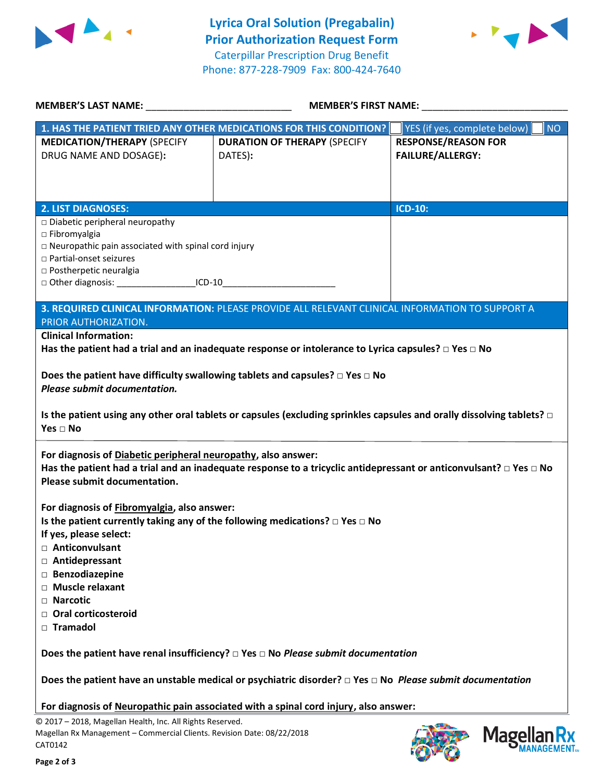



| <b>MEMBER'S LAST NAME:</b>                                                                                                                                                                                                           | <b>MEMBER'S FIRST NAME:</b>                                                                                                                                                                                                                                 |                                                       |  |
|--------------------------------------------------------------------------------------------------------------------------------------------------------------------------------------------------------------------------------------|-------------------------------------------------------------------------------------------------------------------------------------------------------------------------------------------------------------------------------------------------------------|-------------------------------------------------------|--|
|                                                                                                                                                                                                                                      | 1. HAS THE PATIENT TRIED ANY OTHER MEDICATIONS FOR THIS CONDITION?                                                                                                                                                                                          | YES (if yes, complete below)<br><b>NO</b>             |  |
| <b>MEDICATION/THERAPY (SPECIFY</b><br>DRUG NAME AND DOSAGE):                                                                                                                                                                         | <b>DURATION OF THERAPY (SPECIFY</b><br>DATES):                                                                                                                                                                                                              | <b>RESPONSE/REASON FOR</b><br><b>FAILURE/ALLERGY:</b> |  |
| <b>2. LIST DIAGNOSES:</b>                                                                                                                                                                                                            |                                                                                                                                                                                                                                                             | <b>ICD-10:</b>                                        |  |
| □ Diabetic peripheral neuropathy<br>$\square$ Fibromyalgia<br>$\Box$ Neuropathic pain associated with spinal cord injury<br>□ Partial-onset seizures<br>□ Postherpetic neuralgia<br>□ Other diagnosis: ______________________ ICD-10 |                                                                                                                                                                                                                                                             |                                                       |  |
|                                                                                                                                                                                                                                      | 3. REQUIRED CLINICAL INFORMATION: PLEASE PROVIDE ALL RELEVANT CLINICAL INFORMATION TO SUPPORT A                                                                                                                                                             |                                                       |  |
| PRIOR AUTHORIZATION.                                                                                                                                                                                                                 |                                                                                                                                                                                                                                                             |                                                       |  |
| <b>Clinical Information:</b>                                                                                                                                                                                                         |                                                                                                                                                                                                                                                             |                                                       |  |
|                                                                                                                                                                                                                                      | Has the patient had a trial and an inadequate response or intolerance to Lyrica capsules? $\Box$ Yes $\Box$ No                                                                                                                                              |                                                       |  |
| Yes $\Box$ No<br>For diagnosis of Diabetic peripheral neuropathy, also answer:<br><b>Please submit documentation.</b>                                                                                                                | Is the patient using any other oral tablets or capsules (excluding sprinkles capsules and orally dissolving tablets? $\Box$<br>Has the patient had a trial and an inadequate response to a tricyclic antidepressant or anticonvulsant? $\Box$ Yes $\Box$ No |                                                       |  |
| For diagnosis of Fibromyalgia, also answer:<br>If yes, please select:                                                                                                                                                                | Is the patient currently taking any of the following medications? $\Box$ Yes $\Box$ No                                                                                                                                                                      |                                                       |  |
| Anticonvulsant<br>П.<br>□ Antidepressant                                                                                                                                                                                             |                                                                                                                                                                                                                                                             |                                                       |  |
| □ Benzodiazepine                                                                                                                                                                                                                     |                                                                                                                                                                                                                                                             |                                                       |  |
| □ Muscle relaxant                                                                                                                                                                                                                    |                                                                                                                                                                                                                                                             |                                                       |  |
| $\Box$ Narcotic                                                                                                                                                                                                                      |                                                                                                                                                                                                                                                             |                                                       |  |
| □ Oral corticosteroid<br>$\Box$ Tramadol                                                                                                                                                                                             |                                                                                                                                                                                                                                                             |                                                       |  |
|                                                                                                                                                                                                                                      | Does the patient have renal insufficiency? $\Box$ Yes $\Box$ No Please submit documentation                                                                                                                                                                 |                                                       |  |
|                                                                                                                                                                                                                                      | Does the patient have an unstable medical or psychiatric disorder? $\Box$ Yes $\Box$ No Please submit documentation                                                                                                                                         |                                                       |  |
|                                                                                                                                                                                                                                      | For diagnosis of Neuropathic pain associated with a spinal cord injury, also answer:                                                                                                                                                                        |                                                       |  |
| © 2017 - 2018, Magellan Health, Inc. All Rights Reserved.<br>Magellan Rx Management - Commercial Clients. Revision Date: 08/22/2018<br>CAT0142                                                                                       |                                                                                                                                                                                                                                                             | <b>Magellan</b>                                       |  |



**MANAGEMENT**<sub>SM</sub>